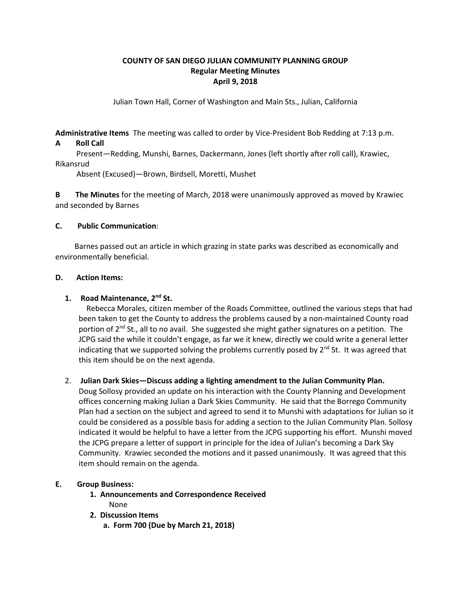## **COUNTY OF SAN DIEGO JULIAN COMMUNITY PLANNING GROUP Regular Meeting Minutes April 9, 2018**

Julian Town Hall, Corner of Washington and Main Sts., Julian, California

**Administrative Items** The meeting was called to order by Vice-President Bob Redding at 7:13 p.m.

### **A Roll Call**

 Present—Redding, Munshi, Barnes, Dackermann, Jones (left shortly after roll call), Krawiec, Rikansrud

Absent (Excused)—Brown, Birdsell, Moretti, Mushet

**B The Minutes** for the meeting of March, 2018 were unanimously approved as moved by Krawiec and seconded by Barnes

### **C. Public Communication**:

 Barnes passed out an article in which grazing in state parks was described as economically and environmentally beneficial.

### **D. Action Items:**

### **1. Road Maintenance, 2nd St.**

Rebecca Morales, citizen member of the Roads Committee, outlined the various steps that had been taken to get the County to address the problems caused by a non-maintained County road portion of  $2<sup>nd</sup>$  St., all to no avail. She suggested she might gather signatures on a petition. The JCPG said the while it couldn't engage, as far we it knew, directly we could write a general letter indicating that we supported solving the problems currently posed by  $2^{nd}$  St. It was agreed that this item should be on the next agenda.

## 2. **Julian Dark Skies—Discuss adding a lighting amendment to the Julian Community Plan.**

Doug Sollosy provided an update on his interaction with the County Planning and Development offices concerning making Julian a Dark Skies Community. He said that the Borrego Community Plan had a section on the subject and agreed to send it to Munshi with adaptations for Julian so it could be considered as a possible basis for adding a section to the Julian Community Plan. Sollosy indicated it would be helpful to have a letter from the JCPG supporting his effort. Munshi moved the JCPG prepare a letter of support in principle for the idea of Julian's becoming a Dark Sky Community. Krawiec seconded the motions and it passed unanimously. It was agreed that this item should remain on the agenda.

#### **E. Group Business:**

- **1. Announcements and Correspondence Received**
- **2. Discussion Items**

None

 **a. Form 700 (Due by March 21, 2018)**